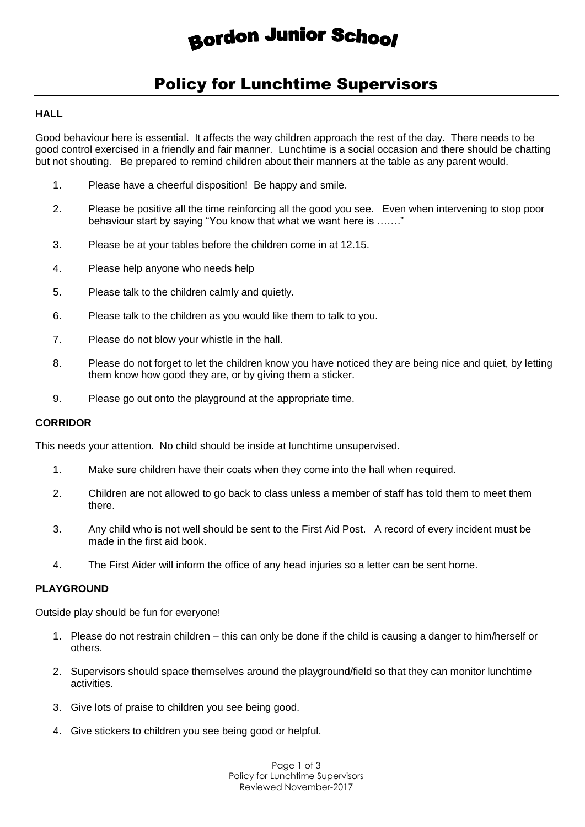# **Bordon Junior School**

# Policy for Lunchtime Supervisors

#### **HALL**

Good behaviour here is essential. It affects the way children approach the rest of the day. There needs to be good control exercised in a friendly and fair manner. Lunchtime is a social occasion and there should be chatting but not shouting. Be prepared to remind children about their manners at the table as any parent would.

- 1. Please have a cheerful disposition! Be happy and smile.
- 2. Please be positive all the time reinforcing all the good you see. Even when intervening to stop poor behaviour start by saying "You know that what we want here is ……."
- 3. Please be at your tables before the children come in at 12.15.
- 4. Please help anyone who needs help
- 5. Please talk to the children calmly and quietly.
- 6. Please talk to the children as you would like them to talk to you.
- 7. Please do not blow your whistle in the hall.
- 8. Please do not forget to let the children know you have noticed they are being nice and quiet, by letting them know how good they are, or by giving them a sticker.
- 9. Please go out onto the playground at the appropriate time.

## **CORRIDOR**

This needs your attention. No child should be inside at lunchtime unsupervised.

- 1. Make sure children have their coats when they come into the hall when required.
- 2. Children are not allowed to go back to class unless a member of staff has told them to meet them there.
- 3. Any child who is not well should be sent to the First Aid Post. A record of every incident must be made in the first aid book.
- 4. The First Aider will inform the office of any head injuries so a letter can be sent home.

#### **PLAYGROUND**

Outside play should be fun for everyone!

- 1. Please do not restrain children this can only be done if the child is causing a danger to him/herself or others.
- 2. Supervisors should space themselves around the playground/field so that they can monitor lunchtime activities.
- 3. Give lots of praise to children you see being good.
- 4. Give stickers to children you see being good or helpful.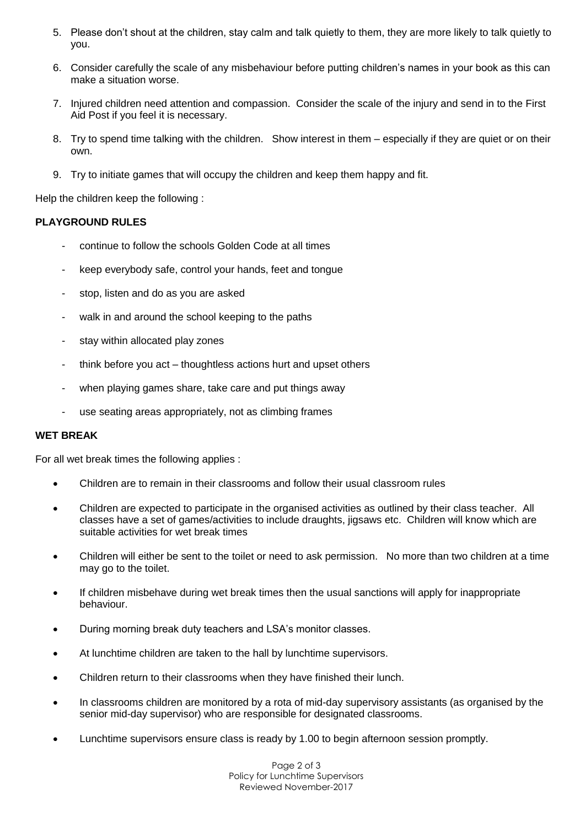- 5. Please don't shout at the children, stay calm and talk quietly to them, they are more likely to talk quietly to you.
- 6. Consider carefully the scale of any misbehaviour before putting children's names in your book as this can make a situation worse.
- 7. Injured children need attention and compassion. Consider the scale of the injury and send in to the First Aid Post if you feel it is necessary.
- 8. Try to spend time talking with the children. Show interest in them especially if they are quiet or on their own.
- 9. Try to initiate games that will occupy the children and keep them happy and fit.

Help the children keep the following :

#### **PLAYGROUND RULES**

- continue to follow the schools Golden Code at all times
- keep everybody safe, control your hands, feet and tongue
- stop, listen and do as you are asked
- walk in and around the school keeping to the paths
- stay within allocated play zones
- think before you act thoughtless actions hurt and upset others
- when playing games share, take care and put things away
- use seating areas appropriately, not as climbing frames

#### **WET BREAK**

For all wet break times the following applies :

- Children are to remain in their classrooms and follow their usual classroom rules
- Children are expected to participate in the organised activities as outlined by their class teacher. All classes have a set of games/activities to include draughts, jigsaws etc. Children will know which are suitable activities for wet break times
- Children will either be sent to the toilet or need to ask permission. No more than two children at a time may go to the toilet.
- If children misbehave during wet break times then the usual sanctions will apply for inappropriate behaviour.
- During morning break duty teachers and LSA's monitor classes.
- At lunchtime children are taken to the hall by lunchtime supervisors.
- Children return to their classrooms when they have finished their lunch.
- In classrooms children are monitored by a rota of mid-day supervisory assistants (as organised by the senior mid-day supervisor) who are responsible for designated classrooms.
- Lunchtime supervisors ensure class is ready by 1.00 to begin afternoon session promptly.